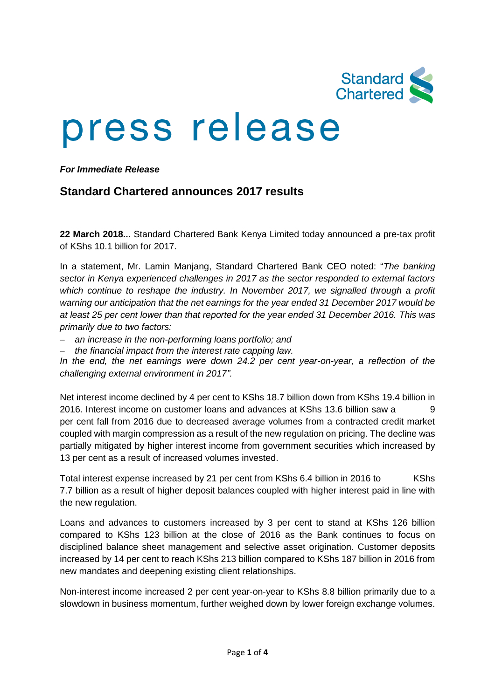

# press release

*For Immediate Release*

# **Standard Chartered announces 2017 results**

**22 March 2018...** Standard Chartered Bank Kenya Limited today announced a pre-tax profit of KShs 10.1 billion for 2017.

In a statement, Mr. Lamin Manjang, Standard Chartered Bank CEO noted: "*The banking sector in Kenya experienced challenges in 2017 as the sector responded to external factors which continue to reshape the industry. In November 2017, we signalled through a profit warning our anticipation that the net earnings for the year ended 31 December 2017 would be at least 25 per cent lower than that reported for the year ended 31 December 2016. This was primarily due to two factors:*

- *an increase in the non-performing loans portfolio; and*
- *the financial impact from the interest rate capping law.*

*In the end, the net earnings were down 24.2 per cent year-on-year, a reflection of the challenging external environment in 2017".*

Net interest income declined by 4 per cent to KShs 18.7 billion down from KShs 19.4 billion in 2016. Interest income on customer loans and advances at KShs 13.6 billion saw a 9 per cent fall from 2016 due to decreased average volumes from a contracted credit market coupled with margin compression as a result of the new regulation on pricing. The decline was partially mitigated by higher interest income from government securities which increased by 13 per cent as a result of increased volumes invested.

Total interest expense increased by 21 per cent from KShs 6.4 billion in 2016 to KShs 7.7 billion as a result of higher deposit balances coupled with higher interest paid in line with the new regulation.

Loans and advances to customers increased by 3 per cent to stand at KShs 126 billion compared to KShs 123 billion at the close of 2016 as the Bank continues to focus on disciplined balance sheet management and selective asset origination. Customer deposits increased by 14 per cent to reach KShs 213 billion compared to KShs 187 billion in 2016 from new mandates and deepening existing client relationships.

Non-interest income increased 2 per cent year-on-year to KShs 8.8 billion primarily due to a slowdown in business momentum, further weighed down by lower foreign exchange volumes.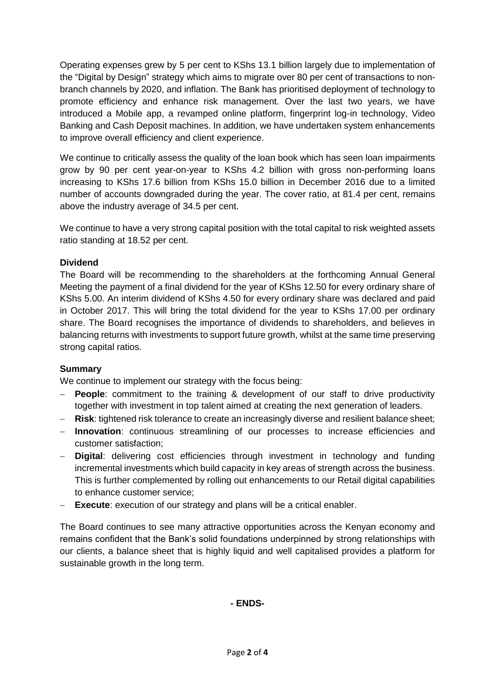Operating expenses grew by 5 per cent to KShs 13.1 billion largely due to implementation of the "Digital by Design" strategy which aims to migrate over 80 per cent of transactions to nonbranch channels by 2020, and inflation. The Bank has prioritised deployment of technology to promote efficiency and enhance risk management. Over the last two years, we have introduced a Mobile app, a revamped online platform, fingerprint log-in technology, Video Banking and Cash Deposit machines. In addition, we have undertaken system enhancements to improve overall efficiency and client experience.

We continue to critically assess the quality of the loan book which has seen loan impairments grow by 90 per cent year-on-year to KShs 4.2 billion with gross non-performing loans increasing to KShs 17.6 billion from KShs 15.0 billion in December 2016 due to a limited number of accounts downgraded during the year. The cover ratio, at 81.4 per cent, remains above the industry average of 34.5 per cent.

We continue to have a very strong capital position with the total capital to risk weighted assets ratio standing at 18.52 per cent.

## **Dividend**

The Board will be recommending to the shareholders at the forthcoming Annual General Meeting the payment of a final dividend for the year of KShs 12.50 for every ordinary share of KShs 5.00. An interim dividend of KShs 4.50 for every ordinary share was declared and paid in October 2017. This will bring the total dividend for the year to KShs 17.00 per ordinary share. The Board recognises the importance of dividends to shareholders, and believes in balancing returns with investments to support future growth, whilst at the same time preserving strong capital ratios.

#### **Summary**

We continue to implement our strategy with the focus being:

- **People**: commitment to the training & development of our staff to drive productivity together with investment in top talent aimed at creating the next generation of leaders.
- **Risk**: tightened risk tolerance to create an increasingly diverse and resilient balance sheet;
- **Innovation**: continuous streamlining of our processes to increase efficiencies and customer satisfaction;
- **Digital**: delivering cost efficiencies through investment in technology and funding incremental investments which build capacity in key areas of strength across the business. This is further complemented by rolling out enhancements to our Retail digital capabilities to enhance customer service;
- **Execute**: execution of our strategy and plans will be a critical enabler.

The Board continues to see many attractive opportunities across the Kenyan economy and remains confident that the Bank's solid foundations underpinned by strong relationships with our clients, a balance sheet that is highly liquid and well capitalised provides a platform for sustainable growth in the long term.

#### **- ENDS-**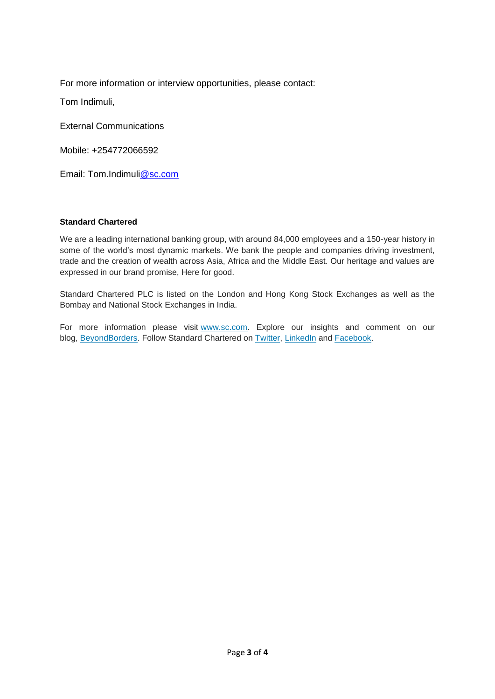For more information or interview opportunities, please contact:

Tom Indimuli,

External Communications

Mobile: +254772066592

Email: Tom.Indimu[li@sc.com](mailto:wasim.benkhadra@sc.com)

#### **Standard Chartered**

We are a leading international banking group, with around 84,000 employees and a 150-year history in some of the world's most dynamic markets. We bank the people and companies driving investment, trade and the creation of wealth across Asia, Africa and the Middle East. Our heritage and values are expressed in our brand promise, Here for good.

Standard Chartered PLC is listed on the London and Hong Kong Stock Exchanges as well as the Bombay and National Stock Exchanges in India.

For more information please visit [www.sc.com.](https://thebridge.zone1.scb.net/external-link.jspa?url=http%3A%2F%2Fwww.sc.com%2F) Explore our insights and comment on our blog, [BeyondBorders.](https://thebridge.zone1.scb.net/external-link.jspa?url=https%3A%2F%2Fwww.sc.com%2FBeyondBorders%2F) Follow Standard Chartered on [Twitter,](https://thebridge.zone1.scb.net/external-link.jspa?url=https%3A%2F%2Ftwitter.com%2FStanChart) [LinkedIn](https://thebridge.zone1.scb.net/external-link.jspa?url=http%3A%2F%2Fwww.linkedin.com%2Fcompany%2Fstandard-chartered-bank) and [Facebook.](https://thebridge.zone1.scb.net/external-link.jspa?url=http%3A%2F%2Fwww.facebook.com%2Fstandardchartered)